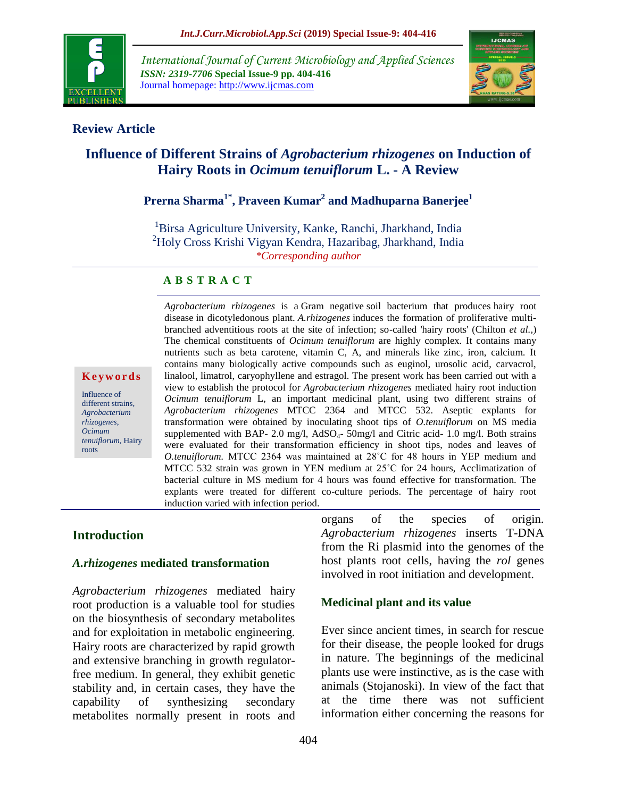

*International Journal of Current Microbiology and Applied Sciences ISSN: 2319-7706* **Special Issue-9 pp. 404-416** Journal homepage: http://www.ijcmas.com



## **Review Article**

# **Influence of Different Strains of** *Agrobacterium rhizogenes* **on Induction of Hairy Roots in** *Ocimum tenuiflorum* **L. - A Review**

# **Prerna Sharma1\* , Praveen Kumar<sup>2</sup> and Madhuparna Banerjee<sup>1</sup>**

<sup>1</sup>Birsa Agriculture University, Kanke, Ranchi, Jharkhand, India <sup>2</sup>Holy Cross Krishi Vigyan Kendra, Hazaribag, Jharkhand, India *\*Corresponding author*

### **A B S T R A C T**

#### **K e y w o rd s**

Influence of different strains*, Agrobacterium rhizogenes*, *Ocimum tenuiflorum,* Hairy roots

*Agrobacterium rhizogenes* is a Gram negative soil bacterium that produces hairy root disease in dicotyledonous plant. *A.rhizogenes* induces the formation of proliferative multibranched adventitious roots at the site of infection; so-called 'hairy roots' (Chilton *et al.,*) The chemical constituents of *Ocimum tenuiflorum* are highly complex. It contains many nutrients such as beta carotene, vitamin C, A, and minerals like zinc, iron, calcium. It contains many biologically active compounds such as euginol, urosolic acid, carvacrol, linalool, limatrol, caryophyllene and estragol. The present work has been carried out with a view to establish the protocol for *Agrobacterium rhizogenes* mediated hairy root induction *Ocimum tenuiflorum* L, an important medicinal plant, using two different strains of *Agrobacterium rhizogenes* MTCC 2364 and MTCC 532. Aseptic explants for transformation were obtained by inoculating shoot tips of *O.tenuiflorum* on MS media supplemented with BAP- 2.0 mg/l, AdSO<sub>4</sub>- 50mg/l and Citric acid- 1.0 mg/l. Both strains were evaluated for their transformation efficiency in shoot tips, nodes and leaves of *O.tenuiflorum.* MTCC 2364 was maintained at 28˚C for 48 hours in YEP medium and MTCC 532 strain was grown in YEN medium at 25˚C for 24 hours, Acclimatization of bacterial culture in MS medium for 4 hours was found effective for transformation. The explants were treated for different co-culture periods. The percentage of hairy root induction varied with infection period.

### **Introduction**

#### *A.rhizogenes* **mediated transformation**

*Agrobacterium rhizogenes* mediated hairy root production is a valuable tool for studies on the biosynthesis of secondary metabolites and for exploitation in metabolic engineering. Hairy roots are characterized by rapid growth and extensive branching in growth regulatorfree medium. In general, they exhibit genetic stability and, in certain cases, they have the capability of synthesizing secondary metabolites normally present in roots and organs of the species of origin. *Agrobacterium rhizogenes* inserts T-DNA from the Ri plasmid into the genomes of the host plants root cells, having the *rol* genes involved in root initiation and development.

### **Medicinal plant and its value**

Ever since ancient times, in search for rescue for their disease, the people looked for drugs in nature. The beginnings of the medicinal plants use were instinctive, as is the case with animals (Stojanoski). In view of the fact that at the time there was not sufficient information either concerning the reasons for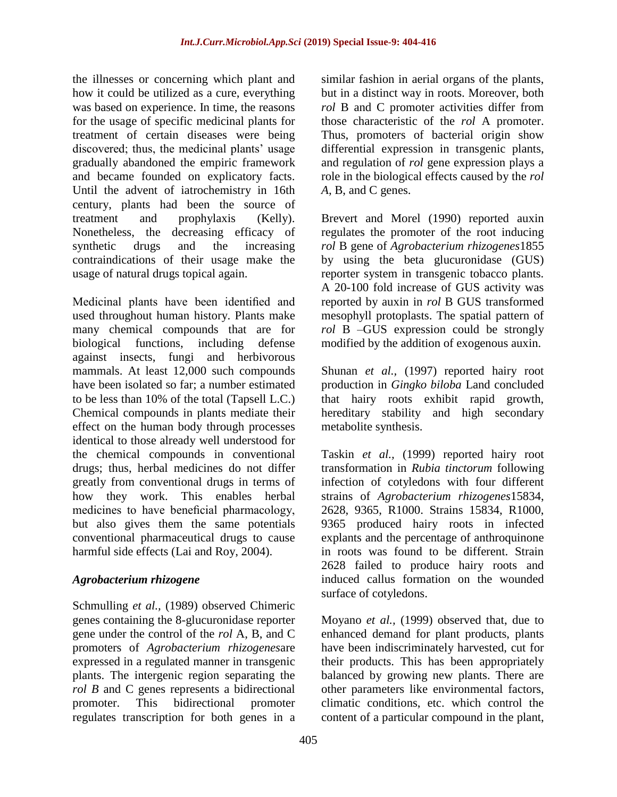the illnesses or concerning which plant and how it could be utilized as a cure, everything was based on experience. In time, the reasons for the usage of specific medicinal plants for treatment of certain diseases were being discovered; thus, the medicinal plants' usage gradually abandoned the empiric framework and became founded on explicatory facts. Until the advent of iatrochemistry in 16th century, plants had been the source of treatment and prophylaxis (Kelly). Nonetheless, the decreasing efficacy of synthetic drugs and the increasing contraindications of their usage make the usage of natural drugs topical again.

Medicinal plants have been identified and used throughout human history. Plants make many chemical compounds that are for biological functions, including defense against insects, fungi and herbivorous mammals. At least 12,000 such compounds have been isolated so far; a number estimated to be less than 10% of the total (Tapsell L.C.) Chemical compounds in plants mediate their effect on the human body through processes identical to those already well understood for the chemical compounds in conventional drugs; thus, herbal medicines do not differ greatly from conventional drugs in terms of how they work. This enables herbal medicines to have beneficial pharmacology, but also gives them the same potentials conventional pharmaceutical drugs to cause harmful side effects (Lai and Roy, 2004).

# *Agrobacterium rhizogene*

Schmulling *et al.,* (1989) observed Chimeric genes containing the 8-glucuronidase reporter gene under the control of the *rol* A, B, and C promoters of *Agrobacterium rhizogenes*are expressed in a regulated manner in transgenic plants. The intergenic region separating the *rol B* and C genes represents a bidirectional promoter. This bidirectional promoter regulates transcription for both genes in a similar fashion in aerial organs of the plants, but in a distinct way in roots. Moreover, both *rol* B and C promoter activities differ from those characteristic of the *rol* A promoter. Thus, promoters of bacterial origin show differential expression in transgenic plants, and regulation of *rol* gene expression plays a role in the biological effects caused by the *rol A*, B, and C genes.

Brevert and Morel (1990) reported auxin regulates the promoter of the root inducing *rol* B gene of *Agrobacterium rhizogenes*1855 by using the beta glucuronidase (GUS) reporter system in transgenic tobacco plants. A 20-100 fold increase of GUS activity was reported by auxin in *rol* B GUS transformed mesophyll protoplasts. The spatial pattern of *rol* B –GUS expression could be strongly modified by the addition of exogenous auxin.

Shunan *et al.*, (1997) reported hairy root production in *Gingko biloba* Land concluded that hairy roots exhibit rapid growth, hereditary stability and high secondary metabolite synthesis.

Taskin *et al.,* (1999) reported hairy root transformation in *Rubia tinctorum* following infection of cotyledons with four different strains of *Agrobacterium rhizogenes*15834, 2628, 9365, R1000. Strains 15834, R1000, 9365 produced hairy roots in infected explants and the percentage of anthroquinone in roots was found to be different. Strain 2628 failed to produce hairy roots and induced callus formation on the wounded surface of cotyledons.

Moyano *et al.,* (1999) observed that, due to enhanced demand for plant products, plants have been indiscriminately harvested, cut for their products. This has been appropriately balanced by growing new plants. There are other parameters like environmental factors, climatic conditions, etc. which control the content of a particular compound in the plant,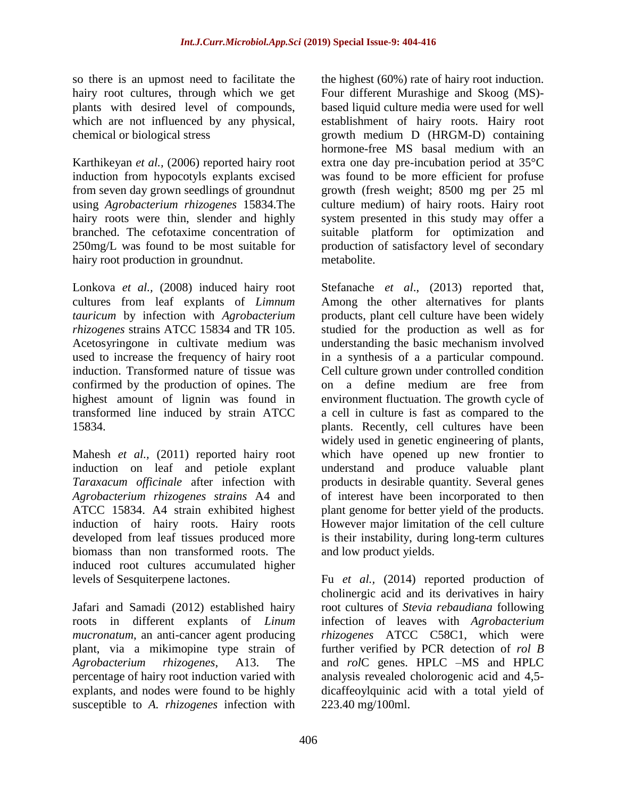so there is an upmost need to facilitate the hairy root cultures, through which we get plants with desired level of compounds, which are not influenced by any physical, chemical or biological stress

Karthikeyan *et al.,* (2006) reported hairy root induction from hypocotyls explants excised from seven day grown seedlings of groundnut using *Agrobacterium rhizogenes* 15834.The hairy roots were thin, slender and highly branched. The cefotaxime concentration of 250mg/L was found to be most suitable for hairy root production in groundnut.

Lonkova *et al.,* (2008) induced hairy root cultures from leaf explants of *Limnum tauricum* by infection with *Agrobacterium rhizogenes* strains ATCC 15834 and TR 105. Acetosyringone in cultivate medium was used to increase the frequency of hairy root induction. Transformed nature of tissue was confirmed by the production of opines. The highest amount of lignin was found in transformed line induced by strain ATCC 15834.

Mahesh *et al.*, (2011) reported hairy root induction on leaf and petiole explant *Taraxacum officinale* after infection with *Agrobacterium rhizogenes strains* A4 and ATCC 15834. A4 strain exhibited highest induction of hairy roots. Hairy roots developed from leaf tissues produced more biomass than non transformed roots. The induced root cultures accumulated higher levels of Sesquiterpene lactones.

Jafari and Samadi (2012) established hairy roots in different explants of *Linum mucronatum*, an anti-cancer agent producing plant, via a mikimopine type strain of *Agrobacterium rhizogenes*, A13. The percentage of hairy root induction varied with explants, and nodes were found to be highly susceptible to *A. rhizogenes* infection with

the highest (60%) rate of hairy root induction. Four different Murashige and Skoog (MS) based liquid culture media were used for well establishment of hairy roots. Hairy root growth medium D (HRGM-D) containing hormone-free MS basal medium with an extra one day pre-incubation period at 35°C was found to be more efficient for profuse growth (fresh weight; 8500 mg per 25 ml culture medium) of hairy roots. Hairy root system presented in this study may offer a suitable platform for optimization and production of satisfactory level of secondary metabolite.

Stefanache *et al*., (2013) reported that, Among the other alternatives for plants products, plant cell culture have been widely studied for the production as well as for understanding the basic mechanism involved in a synthesis of a a particular compound. Cell culture grown under controlled condition on a define medium are free from environment fluctuation. The growth cycle of a cell in culture is fast as compared to the plants. Recently, cell cultures have been widely used in genetic engineering of plants, which have opened up new frontier to understand and produce valuable plant products in desirable quantity. Several genes of interest have been incorporated to then plant genome for better yield of the products. However major limitation of the cell culture is their instability, during long-term cultures and low product yields.

Fu *et al.*, (2014) reported production of cholinergic acid and its derivatives in hairy root cultures of *Stevia rebaudiana* following infection of leaves with *Agrobacterium rhizogenes* ATCC C58C1, which were further verified by PCR detection of *rol B* and *rol*C genes. HPLC –MS and HPLC analysis revealed cholorogenic acid and 4,5 dicaffeoylquinic acid with a total yield of 223.40 mg/100ml.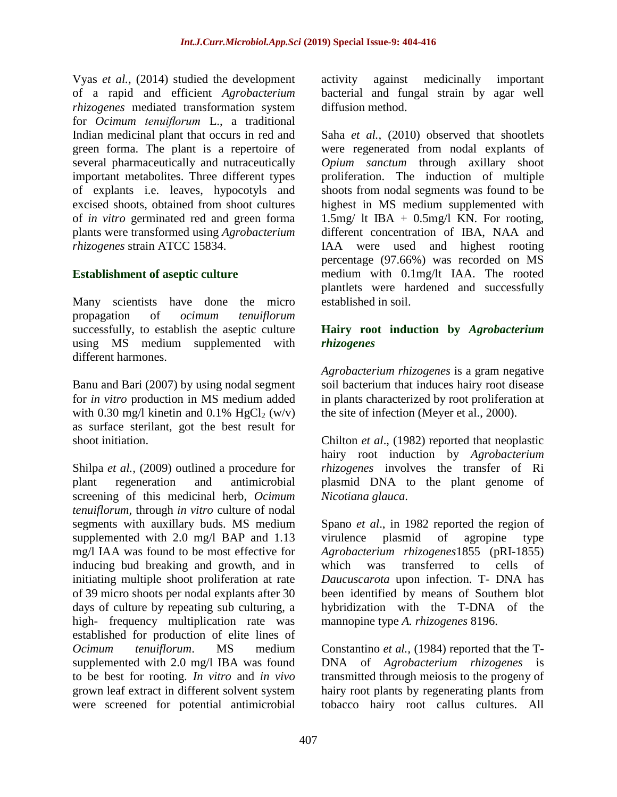Vyas *et al.,* (2014) studied the development of a rapid and efficient *Agrobacterium rhizogenes* mediated transformation system for *Ocimum tenuiflorum* L., a traditional Indian medicinal plant that occurs in red and green forma. The plant is a repertoire of several pharmaceutically and nutraceutically important metabolites. Three different types of explants i.e. leaves, hypocotyls and excised shoots, obtained from shoot cultures of *in vitro* germinated red and green forma plants were transformed using *Agrobacterium rhizogenes* strain ATCC 15834.

# **Establishment of aseptic culture**

Many scientists have done the micro propagation of *ocimum tenuiflorum* successfully, to establish the aseptic culture using MS medium supplemented with different harmones.

Banu and Bari (2007) by using nodal segment for *in vitro* production in MS medium added with 0.30 mg/l kinetin and 0.1% HgCl<sub>2</sub> (w/v) as surface sterilant, got the best result for shoot initiation.

Shilpa *et al.,* (2009) outlined a procedure for plant regeneration and antimicrobial screening of this medicinal herb, *Ocimum tenuiflorum,* through *in vitro* culture of nodal segments with auxillary buds. MS medium supplemented with 2.0 mg/l BAP and 1.13 mg/l IAA was found to be most effective for inducing bud breaking and growth, and in initiating multiple shoot proliferation at rate of 39 micro shoots per nodal explants after 30 days of culture by repeating sub culturing, a high- frequency multiplication rate was established for production of elite lines of *Ocimum tenuiflorum*. MS medium supplemented with 2.0 mg/l IBA was found to be best for rooting. *In vitro* and *in vivo* grown leaf extract in different solvent system were screened for potential antimicrobial

activity against medicinally important bacterial and fungal strain by agar well diffusion method.

Saha *et al.*, (2010) observed that shootlets were regenerated from nodal explants of *Opium sanctum* through axillary shoot proliferation. The induction of multiple shoots from nodal segments was found to be highest in MS medium supplemented with 1.5mg/ lt IBA +  $0.5$ mg/l KN. For rooting, different concentration of IBA, NAA and IAA were used and highest rooting percentage (97.66%) was recorded on MS medium with 0.1mg/lt IAA. The rooted plantlets were hardened and successfully established in soil.

## **Hairy root induction by** *Agrobacterium rhizogenes*

*Agrobacterium rhizogenes* is a gram negative soil bacterium that induces hairy root disease in plants characterized by root proliferation at the site of infection (Meyer et al., 2000).

Chilton *et al*., (1982) reported that neoplastic hairy root induction by *Agrobacterium rhizogenes* involves the transfer of Ri plasmid DNA to the plant genome of *Nicotiana glauca*.

Spano *et al*., in 1982 reported the region of virulence plasmid of agropine type *Agrobacterium rhizogenes*1855 (pRI-1855) which was transferred to cells of *Daucuscarota* upon infection. T- DNA has been identified by means of Southern blot hybridization with the T-DNA of the mannopine type *A. rhizogenes* 8196.

Constantino *et al.,* (1984) reported that the T-DNA of *Agrobacterium rhizogenes* is transmitted through meiosis to the progeny of hairy root plants by regenerating plants from tobacco hairy root callus cultures. All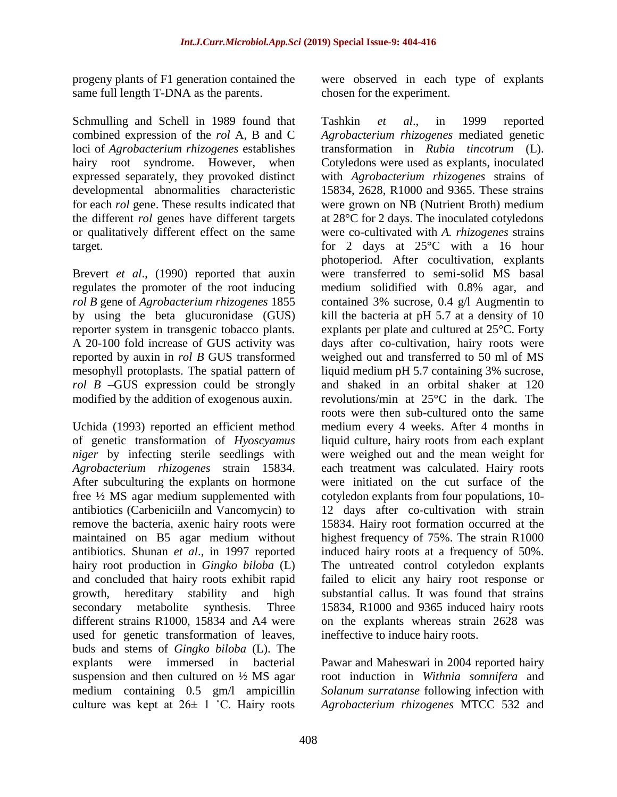progeny plants of F1 generation contained the same full length T-DNA as the parents.

Schmulling and Schell in 1989 found that combined expression of the *rol* A, B and C loci of *Agrobacterium rhizogenes* establishes hairy root syndrome. However, when expressed separately, they provoked distinct developmental abnormalities characteristic for each *rol* gene. These results indicated that the different *rol* genes have different targets or qualitatively different effect on the same target.

Brevert *et al*., (1990) reported that auxin regulates the promoter of the root inducing *rol B* gene of *Agrobacterium rhizogenes* 1855 by using the beta glucuronidase (GUS) reporter system in transgenic tobacco plants. A 20-100 fold increase of GUS activity was reported by auxin in *rol B* GUS transformed mesophyll protoplasts. The spatial pattern of *rol B* –GUS expression could be strongly modified by the addition of exogenous auxin.

Uchida (1993) reported an efficient method of genetic transformation of *Hyoscyamus niger* by infecting sterile seedlings with *Agrobacterium rhizogenes* strain 15834. After subculturing the explants on hormone free ½ MS agar medium supplemented with antibiotics (Carbeniciiln and Vancomycin) to remove the bacteria, axenic hairy roots were maintained on B5 agar medium without antibiotics. Shunan *et al*., in 1997 reported hairy root production in *Gingko biloba* (L) and concluded that hairy roots exhibit rapid growth, hereditary stability and high secondary metabolite synthesis. Three different strains R1000, 15834 and A4 were used for genetic transformation of leaves, buds and stems of *Gingko biloba* (L). The explants were immersed in bacterial suspension and then cultured on ½ MS agar medium containing 0.5 gm/l ampicillin culture was kept at  $26 \pm 1$  °C. Hairy roots

were observed in each type of explants chosen for the experiment.

Tashkin *et al*., in 1999 reported *Agrobacterium rhizogenes* mediated genetic transformation in *Rubia tincotrum* (L). Cotyledons were used as explants, inoculated with *Agrobacterium rhizogenes* strains of 15834, 2628, R1000 and 9365. These strains were grown on NB (Nutrient Broth) medium at 28°C for 2 days. The inoculated cotyledons were co-cultivated with *A. rhizogenes* strains for 2 days at 25°C with a 16 hour photoperiod. After cocultivation, explants were transferred to semi-solid MS basal medium solidified with 0.8% agar, and contained 3% sucrose, 0.4 g/l Augmentin to kill the bacteria at pH 5.7 at a density of 10 explants per plate and cultured at 25°C. Forty days after co-cultivation, hairy roots were weighed out and transferred to 50 ml of MS liquid medium pH 5.7 containing 3% sucrose, and shaked in an orbital shaker at 120 revolutions/min at 25°C in the dark. The roots were then sub-cultured onto the same medium every 4 weeks. After 4 months in liquid culture, hairy roots from each explant were weighed out and the mean weight for each treatment was calculated. Hairy roots were initiated on the cut surface of the cotyledon explants from four populations, 10- 12 days after co-cultivation with strain 15834. Hairy root formation occurred at the highest frequency of 75%. The strain R1000 induced hairy roots at a frequency of 50%. The untreated control cotyledon explants failed to elicit any hairy root response or substantial callus. It was found that strains 15834, R1000 and 9365 induced hairy roots on the explants whereas strain 2628 was ineffective to induce hairy roots.

Pawar and Maheswari in 2004 reported hairy root induction in *Withnia somnifera* and *Solanum surratanse* following infection with *Agrobacterium rhizogenes* MTCC 532 and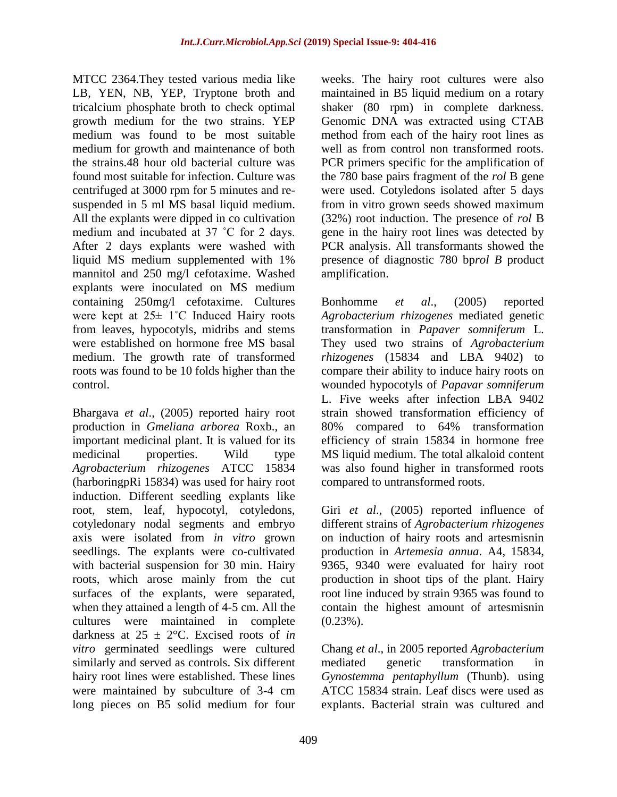MTCC 2364.They tested various media like LB, YEN, NB, YEP, Tryptone broth and tricalcium phosphate broth to check optimal growth medium for the two strains. YEP medium was found to be most suitable medium for growth and maintenance of both the strains.48 hour old bacterial culture was found most suitable for infection. Culture was centrifuged at 3000 rpm for 5 minutes and resuspended in 5 ml MS basal liquid medium. All the explants were dipped in co cultivation medium and incubated at 37 ˚C for 2 days. After 2 days explants were washed with liquid MS medium supplemented with 1% mannitol and 250 mg/l cefotaxime. Washed explants were inoculated on MS medium containing 250mg/l cefotaxime. Cultures were kept at 25± 1˚C Induced Hairy roots from leaves, hypocotyls, midribs and stems were established on hormone free MS basal medium. The growth rate of transformed roots was found to be 10 folds higher than the control.

Bhargava *et al*., (2005) reported hairy root production in *Gmeliana arborea* Roxb., an important medicinal plant. It is valued for its medicinal properties. Wild type *Agrobacterium rhizogenes* ATCC 15834 (harboringpRi 15834) was used for hairy root induction. Different seedling explants like root, stem, leaf, hypocotyl, cotyledons, cotyledonary nodal segments and embryo axis were isolated from *in vitro* grown seedlings. The explants were co-cultivated with bacterial suspension for 30 min. Hairy roots, which arose mainly from the cut surfaces of the explants, were separated, when they attained a length of 4-5 cm. All the cultures were maintained in complete darkness at  $25 \pm 2$ °C. Excised roots of *in vitro* germinated seedlings were cultured similarly and served as controls. Six different hairy root lines were established. These lines were maintained by subculture of 3-4 cm long pieces on B5 solid medium for four

weeks. The hairy root cultures were also maintained in B5 liquid medium on a rotary shaker (80 rpm) in complete darkness. Genomic DNA was extracted using CTAB method from each of the hairy root lines as well as from control non transformed roots. PCR primers specific for the amplification of the 780 base pairs fragment of the *rol* B gene were used. Cotyledons isolated after 5 days from in vitro grown seeds showed maximum (32%) root induction. The presence of *rol* B gene in the hairy root lines was detected by PCR analysis. All transformants showed the presence of diagnostic 780 bp*rol B* product amplification.

Bonhomme *et al*., (2005) reported *Agrobacterium rhizogenes* mediated genetic transformation in *Papaver somniferum* L. They used two strains of *Agrobacterium rhizogenes* (15834 and LBA 9402) to compare their ability to induce hairy roots on wounded hypocotyls of *Papavar somniferum* L. Five weeks after infection LBA 9402 strain showed transformation efficiency of 80% compared to 64% transformation efficiency of strain 15834 in hormone free MS liquid medium. The total alkaloid content was also found higher in transformed roots compared to untransformed roots.

Giri *et al*., (2005) reported influence of different strains of *Agrobacterium rhizogenes* on induction of hairy roots and artesmisnin production in *Artemesia annua*. A4, 15834, 9365, 9340 were evaluated for hairy root production in shoot tips of the plant. Hairy root line induced by strain 9365 was found to contain the highest amount of artesmisnin  $(0.23\%)$ .

Chang *et al*., in 2005 reported *Agrobacterium* mediated genetic transformation in *Gynostemma pentaphyllum* (Thunb). using ATCC 15834 strain. Leaf discs were used as explants. Bacterial strain was cultured and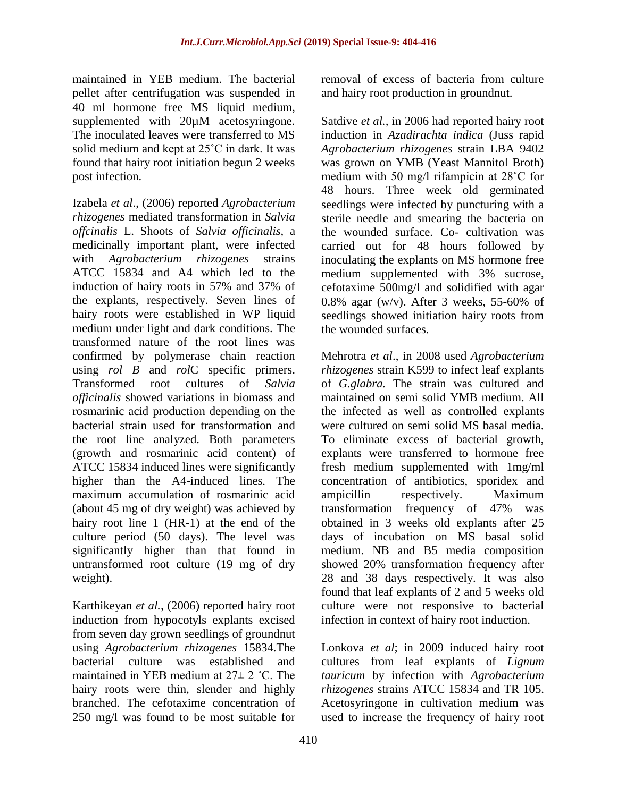maintained in YEB medium. The bacterial pellet after centrifugation was suspended in 40 ml hormone free MS liquid medium, supplemented with  $20\mu$ M acetosyringone. The inoculated leaves were transferred to MS solid medium and kept at 25˚C in dark. It was found that hairy root initiation begun 2 weeks post infection.

Izabela *et al*., (2006) reported *Agrobacterium rhizogenes* mediated transformation in *Salvia offcinalis* L. Shoots of *Salvia officinalis,* a medicinally important plant, were infected with *Agrobacterium rhizogenes* strains ATCC 15834 and A4 which led to the induction of hairy roots in 57% and 37% of the explants, respectively. Seven lines of hairy roots were established in WP liquid medium under light and dark conditions. The transformed nature of the root lines was confirmed by polymerase chain reaction using *rol B* and *rol*C specific primers. Transformed root cultures of *Salvia officinalis* showed variations in biomass and rosmarinic acid production depending on the bacterial strain used for transformation and the root line analyzed. Both parameters (growth and rosmarinic acid content) of ATCC 15834 induced lines were significantly higher than the A4-induced lines. The maximum accumulation of rosmarinic acid (about 45 mg of dry weight) was achieved by hairy root line 1 (HR-1) at the end of the culture period (50 days). The level was significantly higher than that found in untransformed root culture (19 mg of dry weight).

Karthikeyan *et al.,* (2006) reported hairy root induction from hypocotyls explants excised from seven day grown seedlings of groundnut using *Agrobacterium rhizogenes* 15834.The bacterial culture was established and maintained in YEB medium at 27± 2 ˚C. The hairy roots were thin, slender and highly branched. The cefotaxime concentration of 250 mg/l was found to be most suitable for

removal of excess of bacteria from culture and hairy root production in groundnut.

Satdive *et al.,* in 2006 had reported hairy root induction in *Azadirachta indica* (Juss rapid *Agrobacterium rhizogenes* strain LBA 9402 was grown on YMB (Yeast Mannitol Broth) medium with 50 mg/l rifampicin at 28˚C for 48 hours. Three week old germinated seedlings were infected by puncturing with a sterile needle and smearing the bacteria on the wounded surface. Co- cultivation was carried out for 48 hours followed by inoculating the explants on MS hormone free medium supplemented with 3% sucrose, cefotaxime 500mg/l and solidified with agar 0.8% agar (w/v). After 3 weeks, 55-60% of seedlings showed initiation hairy roots from the wounded surfaces.

Mehrotra *et al*., in 2008 used *Agrobacterium rhizogenes* strain K599 to infect leaf explants of *G.glabra.* The strain was cultured and maintained on semi solid YMB medium. All the infected as well as controlled explants were cultured on semi solid MS basal media. To eliminate excess of bacterial growth, explants were transferred to hormone free fresh medium supplemented with 1mg/ml concentration of antibiotics, sporidex and ampicillin respectively. Maximum transformation frequency of 47% was obtained in 3 weeks old explants after 25 days of incubation on MS basal solid medium. NB and B5 media composition showed 20% transformation frequency after 28 and 38 days respectively. It was also found that leaf explants of 2 and 5 weeks old culture were not responsive to bacterial infection in context of hairy root induction.

Lonkova *et al*; in 2009 induced hairy root cultures from leaf explants of *Lignum tauricum* by infection with *Agrobacterium rhizogenes* strains ATCC 15834 and TR 105. Acetosyringone in cultivation medium was used to increase the frequency of hairy root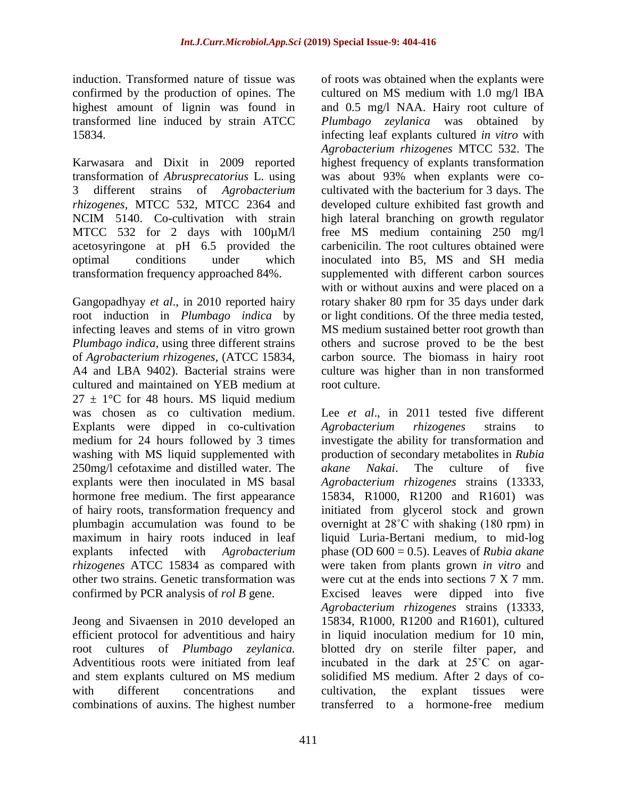induction. Transformed nature of tissue was confirmed by the production of opines. The highest amount of lignin was found in transformed line induced by strain ATCC 15834.

Karwasara and Dixit in 2009 reported transformation of *Abrusprecatorius* L. using 3 different strains of *Agrobacterium rhizogenes,* MTCC 532, MTCC 2364 and NCIM 5140. Co-cultivation with strain MTCC 532 for 2 days with 100µM/l acetosyringone at pH 6.5 provided the optimal conditions under which transformation frequency approached 84%.

Gangopadhyay *et al*., in 2010 reported hairy root induction in *Plumbago indica* by infecting leaves and stems of in vitro grown *Plumbago indica*, using three different strains of *Agrobacterium rhizogenes*, (ATCC 15834, A4 and LBA 9402). Bacterial strains were cultured and maintained on YEB medium at  $27 \pm 1$ °C for 48 hours. MS liquid medium was chosen as co cultivation medium. Explants were dipped in co-cultivation medium for 24 hours followed by 3 times washing with MS liquid supplemented with 250mg/l cefotaxime and distilled water. The explants were then inoculated in MS basal hormone free medium. The first appearance of hairy roots, transformation frequency and plumbagin accumulation was found to be maximum in hairy roots induced in leaf explants infected with *Agrobacterium rhizogenes* ATCC 15834 as compared with other two strains. Genetic transformation was confirmed by PCR analysis of *rol B* gene.

Jeong and Sivaensen in 2010 developed an efficient protocol for adventitious and hairy root cultures of *Plumbago zeylanica.* Adventitious roots were initiated from leaf and stem explants cultured on MS medium with different concentrations and combinations of auxins. The highest number

of roots was obtained when the explants were cultured on MS medium with 1.0 mg/l IBA and 0.5 mg/l NAA. Hairy root culture of *Plumbago zeylanica* was obtained by infecting leaf explants cultured *in vitro* with *Agrobacterium rhizogenes* MTCC 532. The highest frequency of explants transformation was about 93% when explants were cocultivated with the bacterium for 3 days. The developed culture exhibited fast growth and high lateral branching on growth regulator free MS medium containing 250 mg/l carbenicilin. The root cultures obtained were inoculated into B5, MS and SH media supplemented with different carbon sources with or without auxins and were placed on a rotary shaker 80 rpm for 35 days under dark or light conditions. Of the three media tested, MS medium sustained better root growth than others and sucrose proved to be the best carbon source. The biomass in hairy root culture was higher than in non transformed root culture.

Lee *et al.*, in 2011 tested five different *Agrobacterium rhizogenes* strains to investigate the ability for transformation and production of secondary metabolites in *Rubia akane Nakai*. The culture of five *Agrobacterium rhizogenes* strains (13333, 15834, R1000, R1200 and R1601) was initiated from glycerol stock and grown overnight at 28˚C with shaking (180 rpm) in liquid Luria-Bertani medium, to mid-log phase (OD 600 = 0.5). Leaves of *Rubia akane* were taken from plants grown *in vitro* and were cut at the ends into sections  $7 \text{ X } 7 \text{ mm}$ . Excised leaves were dipped into five *Agrobacterium rhizogenes* strains (13333, 15834, R1000, R1200 and R1601), cultured in liquid inoculation medium for 10 min, blotted dry on sterile filter paper, and incubated in the dark at 25˚C on agarsolidified MS medium. After 2 days of cocultivation, the explant tissues were transferred to a hormone-free medium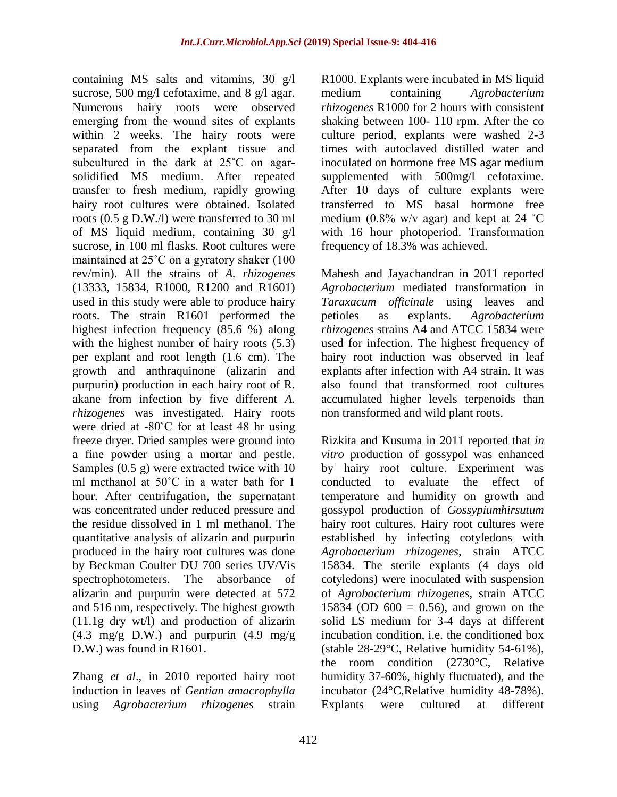containing MS salts and vitamins, 30 g/l sucrose, 500 mg/l cefotaxime, and 8 g/l agar. Numerous hairy roots were observed emerging from the wound sites of explants within 2 weeks. The hairy roots were separated from the explant tissue and subcultured in the dark at 25˚C on agarsolidified MS medium. After repeated transfer to fresh medium, rapidly growing hairy root cultures were obtained. Isolated roots (0.5 g D.W./l) were transferred to 30 ml of MS liquid medium, containing 30 g/l sucrose, in 100 ml flasks. Root cultures were maintained at 25˚C on a gyratory shaker (100 rev/min). All the strains of *A. rhizogenes* (13333, 15834, R1000, R1200 and R1601) used in this study were able to produce hairy roots. The strain R1601 performed the highest infection frequency (85.6 %) along with the highest number of hairy roots  $(5.3)$ per explant and root length (1.6 cm). The growth and anthraquinone (alizarin and purpurin) production in each hairy root of R. akane from infection by five different *A. rhizogenes* was investigated. Hairy roots were dried at -80˚C for at least 48 hr using freeze dryer. Dried samples were ground into a fine powder using a mortar and pestle. Samples (0.5 g) were extracted twice with 10 ml methanol at 50˚C in a water bath for 1 hour. After centrifugation, the supernatant was concentrated under reduced pressure and the residue dissolved in 1 ml methanol. The quantitative analysis of alizarin and purpurin produced in the hairy root cultures was done by Beckman Coulter DU 700 series UV/Vis spectrophotometers. The absorbance of alizarin and purpurin were detected at 572 and 516 nm, respectively. The highest growth (11.1g dry wt/l) and production of alizarin  $(4.3 \text{ mg/g} \text{D.W.})$  and purpurin  $(4.9 \text{ mg/g})$ D.W.) was found in R1601.

Zhang *et al*., in 2010 reported hairy root induction in leaves of *Gentian amacrophylla* using *Agrobacterium rhizogenes* strain

R1000. Explants were incubated in MS liquid medium containing *Agrobacterium rhizogenes* R1000 for 2 hours with consistent shaking between 100- 110 rpm. After the co culture period, explants were washed 2-3 times with autoclaved distilled water and inoculated on hormone free MS agar medium supplemented with 500mg/l cefotaxime. After 10 days of culture explants were transferred to MS basal hormone free medium (0.8% w/v agar) and kept at 24  $^{\circ}$ C with 16 hour photoperiod. Transformation frequency of 18.3% was achieved.

Mahesh and Jayachandran in 2011 reported *Agrobacterium* mediated transformation in *Taraxacum officinale* using leaves and petioles as explants. *Agrobacterium rhizogenes* strains A4 and ATCC 15834 were used for infection. The highest frequency of hairy root induction was observed in leaf explants after infection with A4 strain. It was also found that transformed root cultures accumulated higher levels terpenoids than non transformed and wild plant roots.

Rizkita and Kusuma in 2011 reported that *in vitro* production of gossypol was enhanced by hairy root culture. Experiment was conducted to evaluate the effect of temperature and humidity on growth and gossypol production of *Gossypiumhirsutum* hairy root cultures. Hairy root cultures were established by infecting cotyledons with *Agrobacterium rhizogenes*, strain ATCC 15834. The sterile explants (4 days old cotyledons) were inoculated with suspension of *Agrobacterium rhizogenes*, strain ATCC 15834 (OD  $600 = 0.56$ ), and grown on the solid LS medium for 3-4 days at different incubation condition, i.e. the conditioned box (stable 28-29°C, Relative humidity 54-61%), the room condition (2730°C, Relative humidity 37-60%, highly fluctuated), and the incubator (24°C,Relative humidity 48-78%). Explants were cultured at different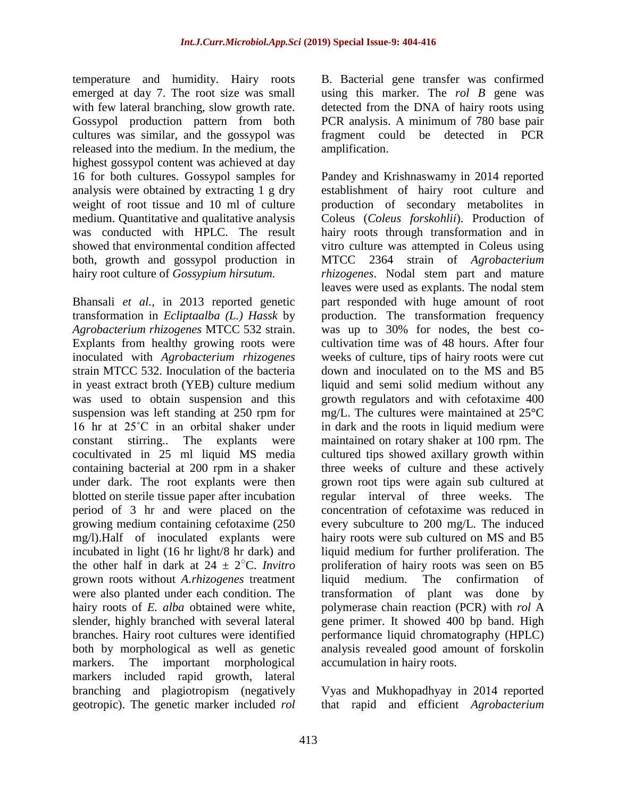temperature and humidity. Hairy roots emerged at day 7. The root size was small with few lateral branching, slow growth rate. Gossypol production pattern from both cultures was similar, and the gossypol was released into the medium. In the medium, the highest gossypol content was achieved at day 16 for both cultures. Gossypol samples for analysis were obtained by extracting 1 g dry weight of root tissue and 10 ml of culture medium. Quantitative and qualitative analysis was conducted with HPLC. The result showed that environmental condition affected both, growth and gossypol production in hairy root culture of *Gossypium hirsutum.*

Bhansali *et al.,* in 2013 reported genetic transformation in *Ecliptaalba (L.) Hassk* by *Agrobacterium rhizogenes* MTCC 532 strain. Explants from healthy growing roots were inoculated with *Agrobacterium rhizogenes* strain MTCC 532. Inoculation of the bacteria in yeast extract broth (YEB) culture medium was used to obtain suspension and this suspension was left standing at 250 rpm for 16 hr at 25˚C in an orbital shaker under constant stirring.. The explants were cocultivated in 25 ml liquid MS media containing bacterial at 200 rpm in a shaker under dark. The root explants were then blotted on sterile tissue paper after incubation period of 3 hr and were placed on the growing medium containing cefotaxime (250 mg/l).Half of inoculated explants were incubated in light (16 hr light/8 hr dark) and the other half in dark at  $24 \pm 2^{\circ}$ C. *Invitro* grown roots without *A.rhizogenes* treatment were also planted under each condition. The hairy roots of *E. alba* obtained were white, slender, highly branched with several lateral branches. Hairy root cultures were identified both by morphological as well as genetic markers. The important morphological markers included rapid growth, lateral branching and plagiotropism (negatively geotropic). The genetic marker included *rol*

B. Bacterial gene transfer was confirmed using this marker. The *rol B* gene was detected from the DNA of hairy roots using PCR analysis. A minimum of 780 base pair fragment could be detected in PCR amplification.

Pandey and Krishnaswamy in 2014 reported establishment of hairy root culture and production of secondary metabolites in Coleus (*Coleus forskohlii*). Production of hairy roots through transformation and in vitro culture was attempted in Coleus using MTCC 2364 strain of *Agrobacterium rhizogenes*. Nodal stem part and mature leaves were used as explants. The nodal stem part responded with huge amount of root production. The transformation frequency was up to 30% for nodes, the best cocultivation time was of 48 hours. After four weeks of culture, tips of hairy roots were cut down and inoculated on to the MS and B5 liquid and semi solid medium without any growth regulators and with cefotaxime 400 mg/L. The cultures were maintained at 25°C in dark and the roots in liquid medium were maintained on rotary shaker at 100 rpm. The cultured tips showed axillary growth within three weeks of culture and these actively grown root tips were again sub cultured at regular interval of three weeks. The concentration of cefotaxime was reduced in every subculture to 200 mg/L. The induced hairy roots were sub cultured on MS and B5 liquid medium for further proliferation. The proliferation of hairy roots was seen on B5 liquid medium. The confirmation of transformation of plant was done by polymerase chain reaction (PCR) with *rol* A gene primer. It showed 400 bp band. High performance liquid chromatography (HPLC) analysis revealed good amount of forskolin accumulation in hairy roots.

Vyas and Mukhopadhyay in 2014 reported that rapid and efficient *Agrobacterium*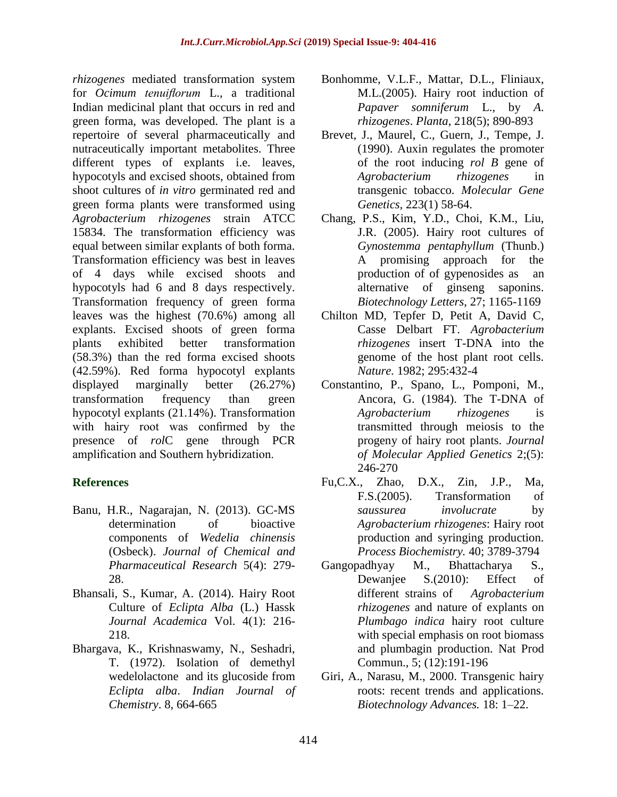*rhizogenes* mediated transformation system for *Ocimum tenuiflorum* L., a traditional Indian medicinal plant that occurs in red and green forma, was developed. The plant is a repertoire of several pharmaceutically and nutraceutically important metabolites. Three different types of explants i.e. leaves, hypocotyls and excised shoots, obtained from shoot cultures of *in vitro* germinated red and green forma plants were transformed using *Agrobacterium rhizogenes* strain ATCC 15834. The transformation efficiency was equal between similar explants of both forma. Transformation efficiency was best in leaves of 4 days while excised shoots and hypocotyls had 6 and 8 days respectively. Transformation frequency of green forma leaves was the highest (70.6%) among all explants. Excised shoots of green forma plants exhibited better transformation (58.3%) than the red forma excised shoots (42.59%). Red forma hypocotyl explants displayed marginally better (26.27%) transformation frequency than green hypocotyl explants (21.14%). Transformation with hairy root was confirmed by the presence of *rol*C gene through PCR amplification and Southern hybridization.

# **References**

- Banu, H.R., Nagarajan, N. (2013). GC-MS determination of bioactive components of *Wedelia chinensis*  (Osbeck). *Journal of Chemical and Pharmaceutical Research* 5(4): 279- 28.
- Bhansali, S., Kumar, A. (2014). Hairy Root Culture of *Eclipta Alba* (L.) Hassk *Journal Academica* Vol. 4(1): 216- 218.
- Bhargava, K., Krishnaswamy, N., Seshadri, T. (1972). Isolation of demethyl wedelolactone and its glucoside from *Eclipta alba*. *Indian Journal of Chemistry*. 8, 664-665
- Bonhomme, V.L.F., Mattar, D.L., Fliniaux, M.L.(2005). Hairy root induction of *Papaver somniferum* L., by *A*. *rhizogenes*. *Planta*, 218(5); 890-893
- Brevet, J., Maurel, C., Guern, J., Tempe, J. (1990). Auxin regulates the promoter of the root inducing *rol B* gene of *Agrobacterium rhizogenes* in transgenic tobacco. *Molecular Gene Genetics,* 223(1) 58-64.
- Chang, P.S., Kim, Y.D., Choi, K.M., Liu, J.R. (2005). Hairy root cultures of *Gynostemma pentaphyllum* (Thunb.) A promising approach for the production of of gypenosides as an alternative of ginseng saponins. *Biotechnology Letters*, 27; 1165-1169
- Chilton MD, Tepfer D, Petit A, David C, Casse Delbart FT. *Agrobacterium rhizogenes* insert T-DNA into the genome of the host plant root cells. *Nature.* 1982; 295:432-4
- Constantino, P., Spano, L., Pomponi, M., Ancora, G. (1984). The T-DNA of *Agrobacterium rhizogenes* is transmitted through meiosis to the progeny of hairy root plants. *Journal of Molecular Applied Genetics* 2;(5): 246-270
- Fu,C.X., Zhao, D.X., Zin, J.P., Ma, F.S.(2005). Transformation of *saussurea involucrate* by *Agrobacterium rhizogenes*: Hairy root production and syringing production. *Process Biochemistry.* 40; 3789-3794
- Gangopadhyay M., Bhattacharya S., Dewanjee S.(2010): Effect of different strains of *Agrobacterium rhizogenes* and nature of explants on *Plumbago indica* hairy root culture with special emphasis on root biomass and plumbagin production. Nat Prod Commun., 5; (12):191-196
- Giri, A., Narasu, M., 2000. Transgenic hairy roots: recent trends and applications. *Biotechnology Advances.* 18: 1–22.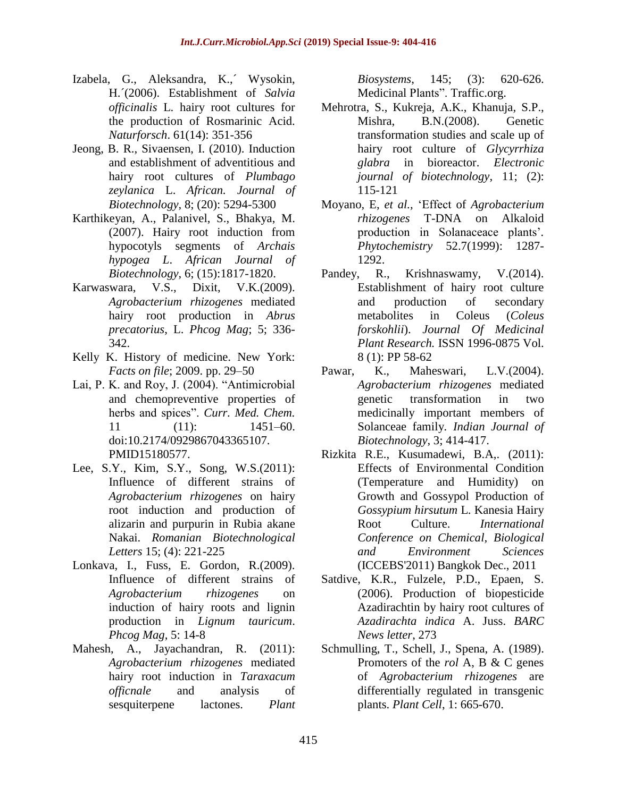- Izabela, G., Aleksandra, K.,´ Wysokin, H.´(2006). Establishment of *Salvia officinalis* L. hairy root cultures for the production of Rosmarinic Acid. *Naturforsch*. 61(14): 351-356
- Jeong, B. R., Sivaensen, I. (2010). Induction and establishment of adventitious and hairy root cultures of *Plumbago zeylanica* L. *African. Journal of Biotechnology*, 8; (20): 5294-5300
- Karthikeyan, A., Palanivel, S., Bhakya, M. (2007). Hairy root induction from hypocotyls segments of *Archais hypogea L*. *African Journal of Biotechnology*, 6; (15):1817-1820.
- Karwaswara, V.S., Dixit, V.K.(2009). *Agrobacterium rhizogenes* mediated hairy root production in *Abrus precatorius*, L. *Phcog Mag*; 5; 336- 342.
- Kelly K. History of medicine. New York: *Facts on file*; 2009. pp. 29–50
- Lai, P. K. and Roy, J. (2004). "Antimicrobial and chemopreventive properties of herbs and spices". *Curr. Med. Chem.* 11 (11): 1451–60. doi:10.2174/0929867043365107. PMID15180577.
- Lee, S.Y., Kim, S.Y., Song, W.S.(2011): Influence of different strains of *Agrobacterium rhizogenes* on hairy root induction and production of alizarin and purpurin in Rubia akane Nakai. *Romanian Biotechnological Letters* 15; (4): 221-225
- Lonkava, I., Fuss, E. Gordon, R.(2009). Influence of different strains of *Agrobacterium rhizogenes* on induction of hairy roots and lignin production in *Lignum tauricum*. *Phcog Mag*, 5: 14-8
- Mahesh, A., Jayachandran, R. (2011): *Agrobacterium rhizogenes* mediated hairy root induction in *Taraxacum officnale* and analysis of sesquiterpene lactones. *Plant*

*Biosystems*, 145; (3): 620-626. Medicinal Plants". Traffic.org.

- Mehrotra, S., Kukreja, A.K., Khanuja, S.P., Mishra, B.N.(2008). Genetic transformation studies and scale up of hairy root culture of *Glycyrrhiza glabra* in bioreactor. *Electronic journal of biotechnology*, 11; (2): 115-121
- Moyano, E, *et al.,* "Effect of *Agrobacterium rhizogenes* T-DNA on Alkaloid production in Solanaceace plants"*. Phytochemistry* 52.7(1999): 1287- 1292.
- Pandey, R., Krishnaswamy, V.(2014). Establishment of hairy root culture and production of secondary metabolites in Coleus (*Coleus forskohlii*). *Journal Of Medicinal Plant Research.* ISSN 1996-0875 Vol. 8 (1): PP 58-62
- Pawar, K., Maheswari, L.V.(2004). *Agrobacterium rhizogenes* mediated genetic transformation in two medicinally important members of Solanceae family*. Indian Journal of Biotechnology*, 3; 414-417.
- Rizkita R.E., Kusumadewi, B.A,. (2011): Effects of Environmental Condition (Temperature and Humidity) on Growth and Gossypol Production of *Gossypium hirsutum* L. Kanesia Hairy Root Culture. *International Conference on Chemical, Biological and Environment Sciences* (ICCEBS'2011) Bangkok Dec., 2011
- Satdive, K.R., Fulzele, P.D., Epaen, S. (2006). Production of biopesticide Azadirachtin by hairy root cultures of *Azadirachta indica* A. Juss. *BARC News letter*, 273
- Schmulling, T., Schell, J., Spena, A. (1989). Promoters of the *rol* A, B & C genes of *Agrobacterium rhizogenes* are differentially regulated in transgenic plants. *Plant Cell*, 1: 665-670.